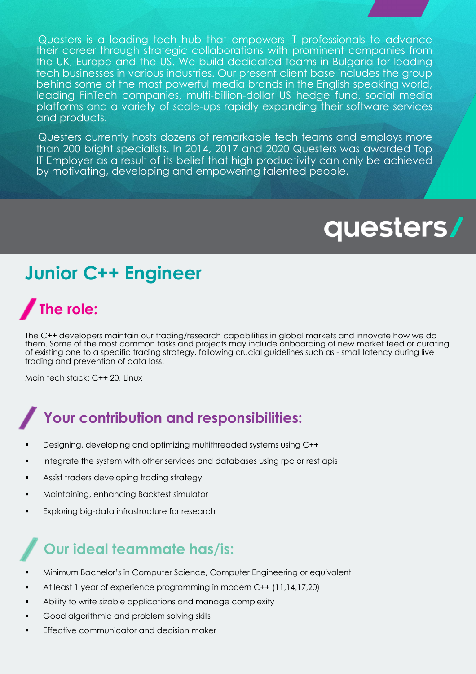Questers is a leading tech hub that empowers IT professionals to advance their career through strategic collaborations with prominent companies from the UK, Europe and the US. We build dedicated teams in Bulgaria for leading tech businesses in various industries. Our present client base includes the group behind some of the most powerful media brands in the English speaking world, leading FinTech companies, multi-billion-dollar US hedge fund, social media platforms and a variety of scale-ups rapidly expanding their software services and products.

Questers currently hosts dozens of remarkable tech teams and employs more than 200 bright specialists. In 2014, 2017 and 2020 Questers was awarded Top IT Employer as a result of its belief that high productivity can only be achieved by motivating, developing and empowering talented people.

# questers/

### **Junior C++ Engineer**

# **The role:**

The C++ developers maintain our trading/research capabilities in global markets and innovate how we do them. Some of the most common tasks and projects may include onboarding of new market feed or curating of existing one to a specific trading strategy, following crucial guidelines such as - small latency during live trading and prevention of data loss.

Main tech stack: C++ 20, Linux

#### **Your contribution and responsibilities:**

- § Designing, developing and optimizing multithreaded systems using C++
- Integrate the system with other services and databases using rpc or rest apis
- § Assist traders developing trading strategy
- § Maintaining, enhancing Backtest simulator
- Exploring big-data infrastructure for research

#### **Our ideal teammate has/is:**

- § Minimum Bachelor's in Computer Science, Computer Engineering or equivalent
- § At least 1 year of experience programming in modern C++ (11,14,17,20)
- Ability to write sizable applications and manage complexity
- § Good algorithmic and problem solving skills
- Effective communicator and decision maker